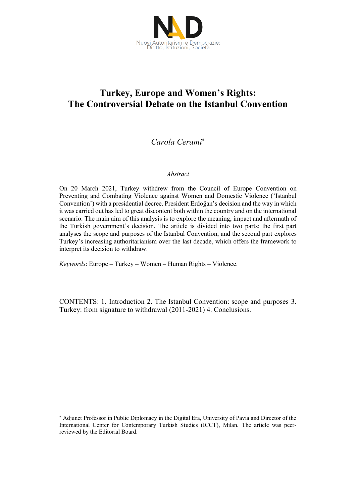

# **Turkey, Europe and Women's Rights: The Controversial Debate on the Istanbul Convention**

## *Carola Cerami*

#### *Abstract*

On 20 March 2021, Turkey withdrew from the Council of Europe Convention on Preventing and Combating Violence against Women and Domestic Violence ('Istanbul Convention') with a presidential decree. President Erdoğan's decision and the way in which it was carried out has led to great discontent both within the country and on the international scenario. The main aim of this analysis is to explore the meaning, impact and aftermath of the Turkish government's decision. The article is divided into two parts: the first part analyses the scope and purposes of the Istanbul Convention, and the second part explores Turkey's increasing authoritarianism over the last decade, which offers the framework to interpret its decision to withdraw.

*Keywords*: Europe – Turkey – Women – Human Rights – Violence.

 $\overline{a}$ 

CONTENTS: 1. Introduction 2. The Istanbul Convention: scope and purposes 3. Turkey: from signature to withdrawal (2011-2021) 4. Conclusions.

Adjunct Professor in Public Diplomacy in the Digital Era, University of Pavia and Director of the International Center for Contemporary Turkish Studies (ICCT), Milan. The article was peerreviewed by the Editorial Board.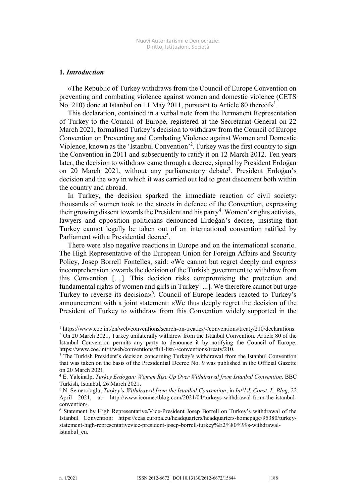#### **1***. Introduction*

«The Republic of Turkey withdraws from the Council of Europe Convention on preventing and combating violence against women and domestic violence (CETS No. 210) done at Istanbul on 11 May 2011, pursuant to Article 80 thereofs<sup>1</sup>.

This declaration, contained in a verbal note from the Permanent Representation of Turkey to the Council of Europe, registered at the Secretariat General on 22 March 2021, formalised Turkey's decision to withdraw from the Council of Europe Convention on Preventing and Combating Violence against Women and Domestic Violence, known as the 'Istanbul Convention' 2 .Turkey was the first country to sign the Convention in 2011 and subsequently to ratify it on 12 March 2012. Ten years later, the decision to withdraw came through a decree, signed by President Erdoğan on 20 March 2021, without any parliamentary debate<sup>3</sup>. President Erdoğan's decision and the way in which it was carried out led to great discontent both within the country and abroad.

In Turkey, the decision sparked the immediate reaction of civil society: thousands of women took to the streets in defence of the Convention, expressing their growing dissent towards the President and his party<sup>4</sup>. Women's rights activists, lawyers and opposition politicians denounced Erdoğan's decree, insisting that Turkey cannot legally be taken out of an international convention ratified by Parliament with a Presidential decree<sup>5</sup>.

There were also negative reactions in Europe and on the international scenario. The High Representative of the European Union for Foreign Affairs and Security Policy, Josep Borrell Fontelles, said: «We cannot but regret deeply and express incomprehension towards the decision of the Turkish government to withdraw from this Convention […]. This decision risks compromising the protection and fundamental rights of women and girls in Turkey [...]. We therefore cannot but urge Turkey to reverse its decision» 6 . Council of Europe leaders reacted to Turkey's announcement with a joint statement: «We thus deeply regret the decision of the President of Turkey to withdraw from this Convention widely supported in the

<sup>1</sup> https://www.coe.int/en/web/conventions/search-on-treaties/-/conventions/treaty/210/declarations.

<sup>2</sup> On 20 March 2021, Turkey unilaterally withdrew from the Istanbul Convention. Article 80 of the Istanbul Convention permits any party to denounce it by notifying the Council of Europe. https://www.coe.int/it/web/conventions/full-list/-/conventions/treaty/210.

<sup>&</sup>lt;sup>3</sup> The Turkish President's decision concerning Turkey's withdrawal from the Istanbul Convention that was taken on the basis of the Presidential Decree No. 9 was published in the Official Gazette on 20 March 2021.

<sup>4</sup> E. Yalcinalp, *Turkey Erdogan: Women Rise Up Over Withdrawal from Istanbul Convention,* BBC Turkish, Istanbul, 26 March 2021.

<sup>5</sup> N. Semercioglu, *Turkey's Withdrawal from the Istanbul Convention*, in *Int'l J. Const. L. Blog*, 22 April 2021, at: http://www.iconnectblog.com/2021/04/turkeys-withdrawal-from-the-istanbulconvention/.

<sup>6</sup> Statement by High Representative/Vice-President Josep Borrell on Turkey's withdrawal of the Istanbul Convention: https://eeas.europa.eu/headquarters/headquarters-homepage/95380/turkeystatement-high-representativevice-president-josep-borrell-turkey%E2%80%99s-withdrawalistanbul\_en.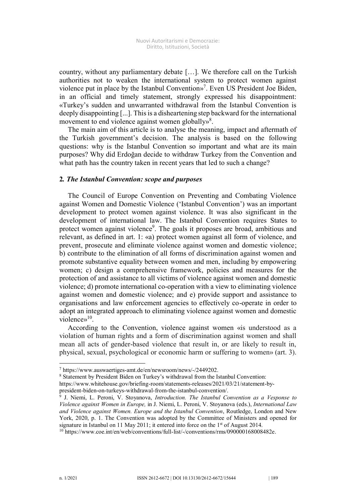country, without any parliamentary debate […]. We therefore call on the Turkish authorities not to weaken the international system to protect women against violence put in place by the Istanbul Convention» 7 . Even US President Joe Biden, in an official and timely statement, strongly expressed his disappointment: «Turkey's sudden and unwarranted withdrawal from the Istanbul Convention is deeply disappointing [...]. This is a disheartening step backward for the international movement to end violence against women globally»<sup>8</sup>.

The main aim of this article is to analyse the meaning, impact and aftermath of the Turkish government's decision. The analysis is based on the following questions: why is the Istanbul Convention so important and what are its main purposes? Why did Erdoğan decide to withdraw Turkey from the Convention and what path has the country taken in recent years that led to such a change?

#### **2***. The Istanbul Convention: scope and purposes*

The Council of Europe Convention on Preventing and Combating Violence against Women and Domestic Violence ('Istanbul Convention') was an important development to protect women against violence. It was also significant in the development of international law. The Istanbul Convention requires States to protect women against violence<sup>9</sup>. The goals it proposes are broad, ambitious and relevant, as defined in art. 1: «a) protect women against all form of violence, and prevent, prosecute and eliminate violence against women and domestic violence; b) contribute to the elimination of all forms of discrimination against women and promote substantive equality between women and men, including by empowering women; c) design a comprehensive framework, policies and measures for the protection of and assistance to all victims of violence against women and domestic violence; d) promote international co-operation with a view to eliminating violence against women and domestic violence; and e) provide support and assistance to organisations and law enforcement agencies to effectively co-operate in order to adopt an integrated approach to eliminating violence against women and domestic violence»<sup>10</sup>.

According to the Convention, violence against women «is understood as a violation of human rights and a form of discrimination against women and shall mean all acts of gender-based violence that result in, or are likely to result in, physical, sexual, psychological or economic harm or suffering to women» (art. 3).

<sup>7</sup> https://www.auswaertiges-amt.de/en/newsroom/news/-/2449202.

<sup>8</sup> Statement by President Biden on Turkey's withdrawal from the Istanbul Convention:

https://www.whitehouse.gov/briefing-room/statements-releases/2021/03/21/statement-by-

president-biden-on-turkeys-withdrawal-from-the-istanbul-convention/.

<sup>9</sup> J. Niemi, L. Peroni, V. Stoyanova, *Introduction. The Istanbul Convention as a Vesponse to Violence against Women in Europe,* in J. Niemi, L. Peroni, V. Stoyanova (eds.), *International Law and Violence against Women. Europe and the Istanbul Convention*, Routledge, London and New York, 2020, p. 1. The Convention was adopted by the Committee of Ministers and opened for signature in Istanbul on 11 May 2011; it entered into force on the 1<sup>st</sup> of August 2014.

<sup>10</sup> https://www.coe.int/en/web/conventions/full-list/-/conventions/rms/090000168008482e.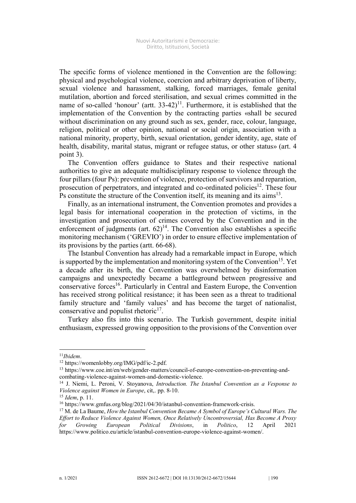The specific forms of violence mentioned in the Convention are the following: physical and psychological violence, coercion and arbitrary deprivation of liberty, sexual violence and harassment, stalking, forced marriages, female genital mutilation, abortion and forced sterilisation, and sexual crimes committed in the name of so-called 'honour' (artt.  $33-42$ )<sup>11</sup>. Furthermore, it is established that the implementation of the Convention by the contracting parties «shall be secured without discrimination on any ground such as sex, gender, race, colour, language, religion, political or other opinion, national or social origin, association with a national minority, property, birth, sexual orientation, gender identity, age, state of health, disability, marital status, migrant or refugee status, or other status» (art. 4 point 3).

The Convention offers guidance to States and their respective national authorities to give an adequate multidisciplinary response to violence through the four pillars (four Ps): prevention of violence, protection of survivors and reparation, prosecution of perpetrators, and integrated and co-ordinated policies<sup>12</sup>. These four Ps constitute the structure of the Convention itself, its meaning and its  $a$ ims<sup>13</sup>.

Finally, as an international instrument, the Convention promotes and provides a legal basis for international cooperation in the protection of victims, in the investigation and prosecution of crimes covered by the Convention and in the enforcement of judgments (art.  $62)^{14}$ . The Convention also establishes a specific monitoring mechanism ('GREVIO') in order to ensure effective implementation of its provisions by the parties (artt. 66-68).

The Istanbul Convention has already had a remarkable impact in Europe, which is supported by the implementation and monitoring system of the Convention<sup>15</sup>. Yet a decade after its birth, the Convention was overwhelmed by disinformation campaigns and unexpectedly became a battleground between progressive and conservative forces<sup>16</sup>. Particularly in Central and Eastern Europe, the Convention has received strong political resistance; it has been seen as a threat to traditional family structure and 'family values' and has become the target of nationalist, conservative and populist rhetoric<sup>17</sup>.

Turkey also fits into this scenario. The Turkish government, despite initial enthusiasm, expressed growing opposition to the provisions of the Convention over

<sup>11</sup>*Ibidem*.

<sup>12</sup> https://womenlobby.org/IMG/pdf/ic-2.pdf.

<sup>13</sup> https://www.coe.int/en/web/gender-matters/council-of-europe-convention-on-preventing-andcombating-violence-against-women-and-domestic-violence.

<sup>14</sup> J. Niemi, L. Peroni, V. Stoyanova, *Introduction. The Istanbul Convention as a Vesponse to Violence against Women in Europe*, cit,. pp. 8-10.

<sup>15</sup> *Idem*, p. 11.

<sup>&</sup>lt;sup>16</sup> https://www.gmfus.org/blog/2021/04/30/istanbul-convention-framework-crisis.

<sup>17</sup> M. de La Baume, *How the Istanbul Convention Became A Symbol of Europe's Cultural Wars. The Effort to Reduce Violence Against Women, Once Relatively Uncontroversial, Has Become A Proxy for Growing European Political Divisions*, in *Politico*, 12 April 2021 https://www.politico.eu/article/istanbul-convention-europe-violence-against-women/.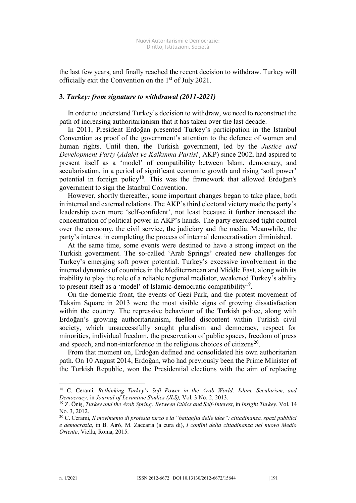the last few years, and finally reached the recent decision to withdraw. Turkey will officially exit the Convention on the 1<sup>st</sup> of July 2021.

#### **3***. Turkey: from signature to withdrawal (2011-2021)*

In order to understand Turkey's decision to withdraw, we need to reconstruct the path of increasing authoritarianism that it has taken over the last decade.

In 2011, President Erdoğan presented Turkey's participation in the Istanbul Convention as proof of the government's attention to the defence of women and human rights. Until then, the Turkish government, led by the *Justice and Development Party* (*Adalet ve Kalkınma Partisi*¸ AKP) since 2002, had aspired to present itself as a 'model' of compatibility between Islam, democracy, and secularisation, in a period of significant economic growth and rising 'soft power' potential in foreign policy<sup>18</sup>. This was the framework that allowed Erdoğan's government to sign the Istanbul Convention.

However, shortly thereafter, some important changes began to take place, both in internal and external relations. The AKP's third electoral victory made the party's leadership even more 'self-confident', not least because it further increased the concentration of political power in AKP's hands. The party exercised tight control over the economy, the civil service, the judiciary and the media. Meanwhile, the party's interest in completing the process of internal democratisation diminished.

At the same time, some events were destined to have a strong impact on the Turkish government. The so-called 'Arab Springs' created new challenges for Turkey's emerging soft power potential. Turkey's excessive involvement in the internal dynamics of countries in the Mediterranean and Middle East, along with its inability to play the role of a reliable regional mediator, weakened Turkey's ability to present itself as a 'model' of Islamic-democratic compatibility<sup>19</sup>.

On the domestic front, the events of Gezi Park, and the protest movement of Taksim Square in 2013 were the most visible signs of growing dissatisfaction within the country. The repressive behaviour of the Turkish police, along with Erdoğan's growing authoritarianism, fuelled discontent within Turkish civil society, which unsuccessfully sought pluralism and democracy, respect for minorities, individual freedom, the preservation of public spaces, freedom of press and speech, and non-interference in the religious choices of citizens<sup>20</sup>.

From that moment on, Erdoğan defined and consolidated his own authoritarian path. On 10 August 2014, Erdoğan, who had previously been the Prime Minister of the Turkish Republic, won the Presidential elections with the aim of replacing

<sup>18</sup> C. Cerami, *Rethinking Turkey's Soft Power in the Arab World: Islam, Secularism, and Democracy*, in *Journal of Levantine Studies (JLS),* Vol. 3 No. 2, 2013.

<sup>19</sup> Z. Öniş, *Turkey and the Arab Spring: Between Ethics and Self-Interest*, in *Insight Turkey*, Vol. 14 No. 3, 2012.

<sup>20</sup> C. Cerami, *Il movimento di protesta turco e la "battaglia delle idee": cittadinanza, spazi pubblici e democrazia*, in B. Airò, M. Zaccaria (a cura di), *I confini della cittadinanza nel nuovo Medio Oriente*, Viella, Roma, 2015.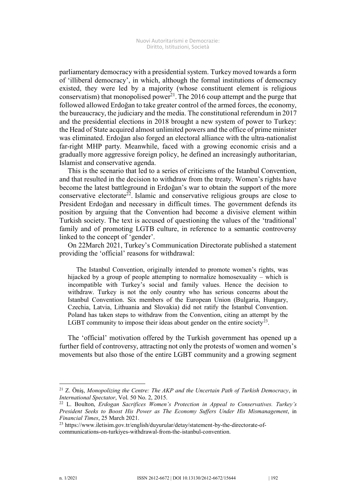parliamentary democracy with a presidential system. Turkey moved towards a form of 'illiberal democracy', in which, although the formal institutions of democracy existed, they were led by a majority (whose constituent element is religious conservatism) that monopolised power<sup>21</sup>. The 2016 coup attempt and the purge that followed allowed Erdoğan to take greater control of the armed forces, the economy, the bureaucracy, the judiciary and the media. The constitutional referendum in 2017 and the presidential elections in 2018 brought a new system of power to Turkey: the Head of State acquired almost unlimited powers and the office of prime minister was eliminated. Erdoğan also forged an electoral alliance with the ultra-nationalist far-right MHP party. Meanwhile, faced with a growing economic crisis and a gradually more aggressive foreign policy, he defined an increasingly authoritarian, Islamist and conservative agenda.

This is the scenario that led to a series of criticisms of the Istanbul Convention, and that resulted in the decision to withdraw from the treaty. Women's rights have become the latest battleground in Erdoğan's war to obtain the support of the more conservative electorate<sup>22</sup>. Islamic and conservative religious groups are close to President Erdoğan and necessary in difficult times. The government defends its position by arguing that the Convention had become a divisive element within Turkish society. The text is accused of questioning the values of the 'traditional' family and of promoting LGTB culture, in reference to a semantic controversy linked to the concept of 'gender'.

On 22March 2021, Turkey's Communication Directorate published a statement providing the 'official' reasons for withdrawal:

The Istanbul Convention, originally intended to promote women's rights, was hijacked by a group of people attempting to normalize homosexuality – which is incompatible with Turkey's social and family values. Hence the decision to withdraw. Turkey is not the only country who has serious concerns about the Istanbul Convention. Six members of the European Union (Bulgaria, Hungary, Czechia, Latvia, Lithuania and Slovakia) did not ratify the Istanbul Convention. Poland has taken steps to withdraw from the Convention, citing an attempt by the LGBT community to impose their ideas about gender on the entire society<sup>23</sup>.

The 'official' motivation offered by the Turkish government has opened up a further field of controversy, attracting not only the protests of women and women's movements but also those of the entire LGBT community and a growing segment

<sup>21</sup> Z. Öniş, *Monopolizing the Centre: The AKP and the Uncertain Path of Turkish Democracy*, in *International Spectator*, Vol. 50 No. 2, 2015.

<sup>22</sup> L. Boulton, *Erdogan Sacrifices Women's Protection in Appeal to Conservatives. Turkey's President Seeks to Boost His Power as The Economy Suffers Under His Mismanagement*, in *Financial Times*, 25 March 2021.

<sup>23</sup> https://www.iletisim.gov.tr/english/duyurular/detay/statement-by-the-directorate-ofcommunications-on-turkiyes-withdrawal-from-the-istanbul-convention.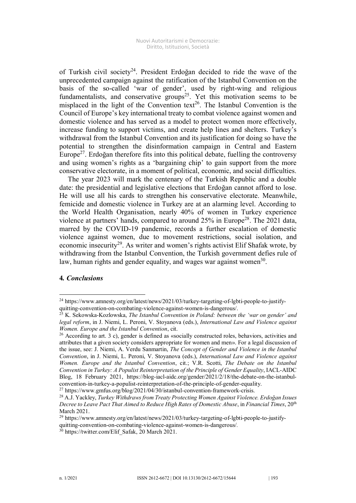of Turkish civil society<sup>24</sup>. President Erdoğan decided to ride the wave of the unprecedented campaign against the ratification of the Istanbul Convention on the basis of the so-called 'war of gender', used by right-wing and religious fundamentalists, and conservative groups<sup>25</sup>. Yet this motivation seems to be misplaced in the light of the Convention text<sup>26</sup>. The Istanbul Convention is the Council of Europe's key international treaty to combat violence against women and domestic violence and has served as a model to protect women more effectively, increase funding to support victims, and create help lines and shelters. Turkey's withdrawal from the Istanbul Convention and its justification for doing so have the potential to strengthen the disinformation campaign in Central and Eastern Europe $2^7$ . Erdoğan therefore fits into this political debate, fuelling the controversy and using women's rights as a 'bargaining chip' to gain support from the more conservative electorate, in a moment of political, economic, and social difficulties.

The year 2023 will mark the centenary of the Turkish Republic and a double date: the presidential and legislative elections that Erdoğan cannot afford to lose. He will use all his cards to strengthen his conservative electorate. Meanwhile, femicide and domestic violence in Turkey are at an alarming level. According to the World Health Organisation, nearly 40% of women in Turkey experience violence at partners' hands, compared to around  $25\%$  in Europe<sup>28</sup>. The  $2021$  data, marred by the COVID-19 pandemic, records a further escalation of domestic violence against women, due to movement restrictions, social isolation, and economic insecurity<sup>29</sup>. As writer and women's rights activist Elif Shafak wrote, by withdrawing from the Istanbul Convention, the Turkish government defies rule of law, human rights and gender equality, and wages war against women $30$ .

### **4***. Conclusions*

 $\overline{a}$ 

<sup>27</sup> https://www.gmfus.org/blog/2021/04/30/istanbul-convention-framework-crisis.

<sup>24</sup> https://www.amnesty.org/en/latest/news/2021/03/turkey-targeting-of-lgbti-people-to-justifyquitting-convention-on-combating-violence-against-women-is-dangerous/.

<sup>25</sup> K. Sekowska-Kozlowska, *The Istanbul Convention in Poland: between the 'war on gender' and legal reform*, in J. Niemi, L. Peroni, V. Stoyanova (eds.), *International Law and Violence against Women. Europe and the Istanbul Convention*, cit.

<sup>26</sup> According to art. 3 c), gender is defined as «socially constructed roles, behaviors, activities and attributes that a given society considers appropriate for women and men». For a legal discussion of the issue, see: J. Niemi, A. Verdu Sanmartin, *The Concept of Gender and Violence in the Istanbul Convention*, in J. Niemi, L. Peroni, V. Stoyanova (eds.), *International Law and Violence against Women. Europe and the Istanbul Convention*, cit.; V.R. Scotti, *The Debate on the Istanbul Convention in Turkey: A Populist Reinterpretation of the Principle of Gender Equality*, IACL-AIDC Blog, 18 February 2021, https://blog-iacl-aidc.org/gender/2021/2/18/the-debate-on-the-istanbulconvention-in-turkey-a-populist-reinterpretation-of-the-principle-of-gender-equality.

<sup>28</sup> A.J. Yackley, *Turkey Withdraws from Treaty Protecting Women Against Violence. Erdoğan Issues Decree to Leave Pact That Aimed to Reduce High Rates of Domestic Abuse*, in *Financial Times*, 20th March 2021.

<sup>&</sup>lt;sup>29</sup> https://www.amnesty.org/en/latest/news/2021/03/turkey-targeting-of-lgbti-people-to-justifyquitting-convention-on-combating-violence-against-women-is-dangerous/*.*

<sup>&</sup>lt;sup>30</sup> https://twitter.com/Elif\_Safak, 20 March 2021.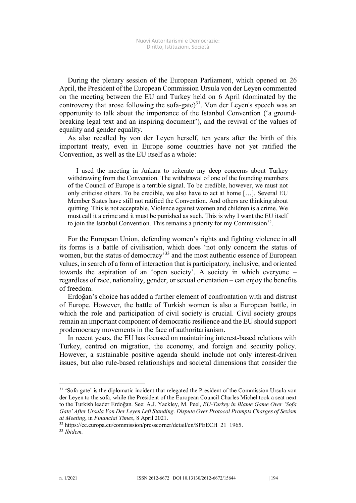During the plenary session of the European Parliament, which opened on 26 April, the President of the European Commission Ursula von der Leyen commented on the meeting between the EU and Turkey held on 6 April (dominated by the controversy that arose following the sofa-gate) $31$ . Von der Leyen's speech was an opportunity to talk about the importance of the Istanbul Convention ('a groundbreaking legal text and an inspiring document'), and the revival of the values of equality and gender equality.

As also recalled by von der Leyen herself, ten years after the birth of this important treaty, even in Europe some countries have not yet ratified the Convention, as well as the EU itself as a whole:

I used the meeting in Ankara to reiterate my deep concerns about Turkey withdrawing from the Convention. The withdrawal of one of the founding members of the Council of Europe is a terrible signal. To be credible, however, we must not only criticise others. To be credible, we also have to act at home […]. Several EU Member States have still not ratified the Convention. And others are thinking about quitting. This is not acceptable. Violence against women and children is a crime. We must call it a crime and it must be punished as such. This is why I want the EU itself to join the Istanbul Convention. This remains a priority for my Commission<sup>32</sup>.

For the European Union, defending women's rights and fighting violence in all its forms is a battle of civilisation, which does 'not only concern the status of women, but the status of democracy<sup>33</sup> and the most authentic essence of European values, in search of a form of interaction that is participatory, inclusive, and oriented towards the aspiration of an 'open society'. A society in which everyone – regardless of race, nationality, gender, or sexual orientation – can enjoy the benefits of freedom.

Erdoğan's choice has added a further element of confrontation with and distrust of Europe. However, the battle of Turkish women is also a European battle, in which the role and participation of civil society is crucial. Civil society groups remain an important component of democratic resilience and the EU should support prodemocracy movements in the face of authoritarianism.

In recent years, the EU has focused on maintaining interest-based relations with Turkey, centred on migration, the economy, and foreign and security policy. However, a sustainable positive agenda should include not only interest-driven issues, but also rule-based relationships and societal dimensions that consider the

<sup>&</sup>lt;sup>31</sup> 'Sofa-gate' is the diplomatic incident that relegated the President of the Commission Ursula von der Leyen to the sofa, while the President of the European Council Charles Michel took a seat next to the Turkish leader Erdoğan. See: A.J. Yackley, M. Peel, *EU-Turkey in Blame Game Over 'Sofa Gate' After Ursula Von Der Leyen Left Standing. Dispute Over Protocol Prompts Charges of Sexism at Meeting*, in *Financial Times*, 8 April 2021.

<sup>32</sup> https://ec.europa.eu/commission/presscorner/detail/en/SPEECH\_21\_1965.

<sup>33</sup> *Ibidem.*